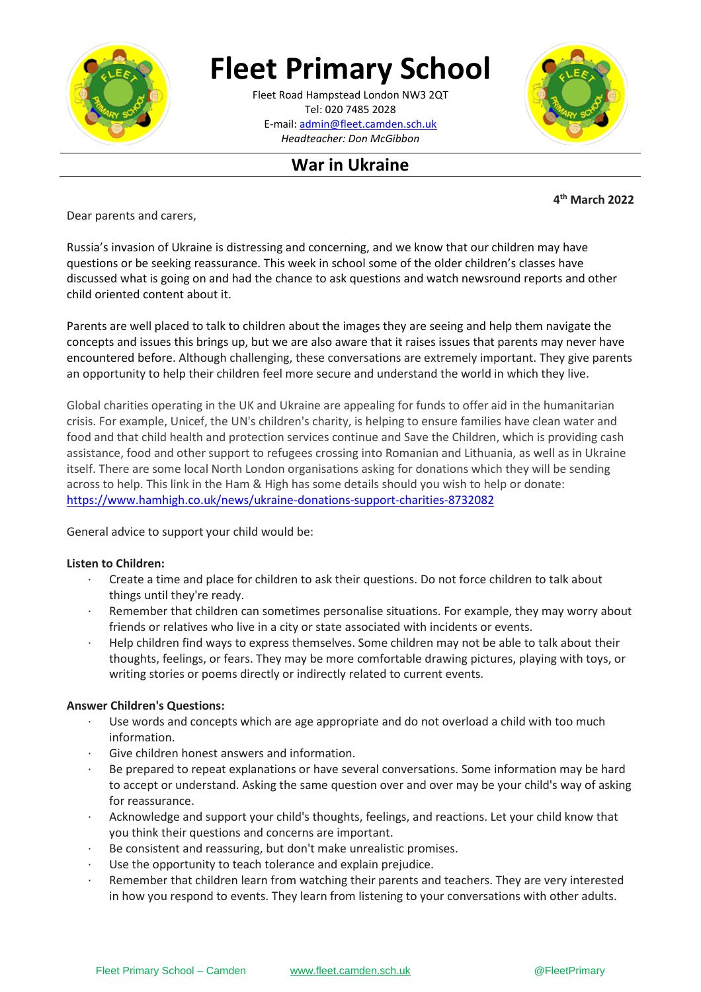

# **Fleet Primary School**

**\_\_\_\_\_\_\_\_\_\_[\\_\\_\\_\\_\\_\\_\\_\\_\\_\\_\\_\\_\\_](mailto:admin@fleet.camden.sch.uk)\_\_\_\_\_\_** E-mail: admin@fleet.camden.sch.uk Fleet Road Hampstead London NW3 2QT Tel: 020 7485 2028 *Headteacher: Don McGibbon*



## **War in Ukraine**

**4 th March 2022**

Dear parents and carers,

Russia's invasion of Ukraine is distressing and concerning, and we know that our children may have questions or be seeking reassurance. This week in school some of the older children's classes have discussed what is going on and had the chance to ask questions and watch newsround reports and other child oriented content about it.

Parents are well placed to talk to children about the images they are seeing and help them navigate the concepts and issues this brings up, but we are also aware that it raises issues that parents may never have encountered before. Although challenging, these conversations are extremely important. They give parents an opportunity to help their children feel more secure and understand the world in which they live.

Global charities operating in the UK and Ukraine are appealing for funds to offer aid in the humanitarian crisis. For example, Unicef, the UN's children's charity, is helping to ensure families have clean water and food and that child health and protection services continue and Save the Children, which is providing cash assistance, food and other support to refugees crossing into Romanian and Lithuania, as well as in Ukraine itself. There are some local North London organisations asking for donations which they will be sending across to help. This link in the Ham & High has some details should you wish to help or donate: <https://www.hamhigh.co.uk/news/ukraine-donations-support-charities-8732082>

General advice to support your child would be:

### **Listen to Children:**

- · Create a time and place for children to ask their questions. Do not force children to talk about things until they're ready.
- Remember that children can sometimes personalise situations. For example, they may worry about friends or relatives who live in a city or state associated with incidents or events.
- · Help children find ways to express themselves. Some children may not be able to talk about their thoughts, feelings, or fears. They may be more comfortable drawing pictures, playing with toys, or writing stories or poems directly or indirectly related to current events.

### **Answer Children's Questions:**

- Use words and concepts which are age appropriate and do not overload a child with too much information.
- Give children honest answers and information.
- Be prepared to repeat explanations or have several conversations. Some information may be hard to accept or understand. Asking the same question over and over may be your child's way of asking for reassurance.
- · Acknowledge and support your child's thoughts, feelings, and reactions. Let your child know that you think their questions and concerns are important.
- Be consistent and reassuring, but don't make unrealistic promises.
- Use the opportunity to teach tolerance and explain prejudice.
- Remember that children learn from watching their parents and teachers. They are very interested in how you respond to events. They learn from listening to your conversations with other adults.